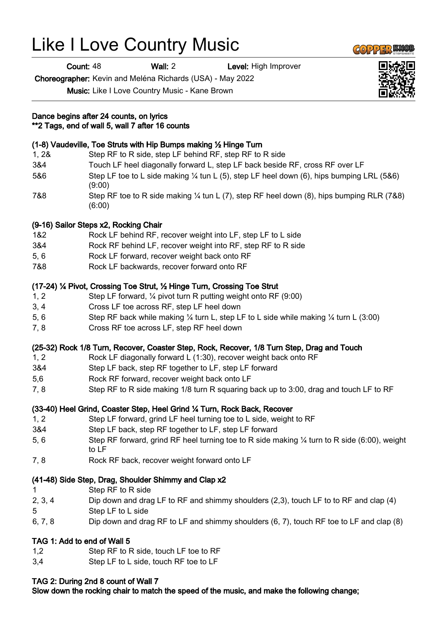# Like I Love Country Music

**Count: 48 Wall: 2 Level: High Improver** 

Choreographer: Kevin and Meléna Richards (USA) - May 2022

Music: Like I Love Country Music - Kane Brown

#### Dance begins after 24 counts, on lyrics \*\*2 Tags, end of wall 5, wall 7 after 16 counts

## (1-8) Vaudeville, Toe Struts with Hip Bumps making ½ Hinge Turn

- 1, 2& Step RF to R side, step LF behind RF, step RF to R side
- 3&4 Touch LF heel diagonally forward L, step LF back beside RF, cross RF over LF
- 5&6 Step LF toe to L side making ¼ tun L (5), step LF heel down (6), hips bumping LRL (5&6) (9:00)
- 7&8 Step RF toe to R side making ¼ tun L (7), step RF heel down (8), hips bumping RLR (7&8) (6:00)

### (9-16) Sailor Steps x2, Rocking Chair

- 1&2 Rock LF behind RF, recover weight into LF, step LF to L side
- 3&4 Rock RF behind LF, recover weight into RF, step RF to R side
- 5, 6 Rock LF forward, recover weight back onto RF
- 7&8 Rock LF backwards, recover forward onto RF

### (17-24) ¼ Pivot, Crossing Toe Strut, ½ Hinge Turn, Crossing Toe Strut

- 1, 2 Step LF forward, ¼ pivot turn R putting weight onto RF (9:00)
- 3, 4 Cross LF toe across RF, step LF heel down
- 5, 6 Step RF back while making ¼ turn L, step LF to L side while making ¼ turn L (3:00)
- 7, 8 Cross RF toe across LF, step RF heel down

## (25-32) Rock 1/8 Turn, Recover, Coaster Step, Rock, Recover, 1/8 Turn Step, Drag and Touch

- 1, 2 Rock LF diagonally forward L (1:30), recover weight back onto RF
- 3&4 Step LF back, step RF together to LF, step LF forward
- 5,6 Rock RF forward, recover weight back onto LF
- 7, 8 Step RF to R side making 1/8 turn R squaring back up to 3:00, drag and touch LF to RF

## (33-40) Heel Grind, Coaster Step, Heel Grind ¼ Turn, Rock Back, Recover

- 1, 2 Step LF forward, grind LF heel turning toe to L side, weight to RF
- 3&4 Step LF back, step RF together to LF, step LF forward
- 5, 6 Step RF forward, grind RF heel turning toe to R side making ¼ turn to R side (6:00), weight to LF
- 7, 8 Rock RF back, recover weight forward onto LF

#### (41-48) Side Step, Drag, Shoulder Shimmy and Clap x2

- 1 Step RF to R side
- 2, 3, 4 Dip down and drag LF to RF and shimmy shoulders (2,3), touch LF to to RF and clap (4)
- 5 Step LF to L side
- 6, 7, 8 Dip down and drag RF to LF and shimmy shoulders (6, 7), touch RF toe to LF and clap (8)

#### TAG 1: Add to end of Wall 5

- 1,2 Step RF to R side, touch LF toe to RF
- 3,4 Step LF to L side, touch RF toe to LF

#### TAG 2: During 2nd 8 count of Wall 7

Slow down the rocking chair to match the speed of the music, and make the following change;